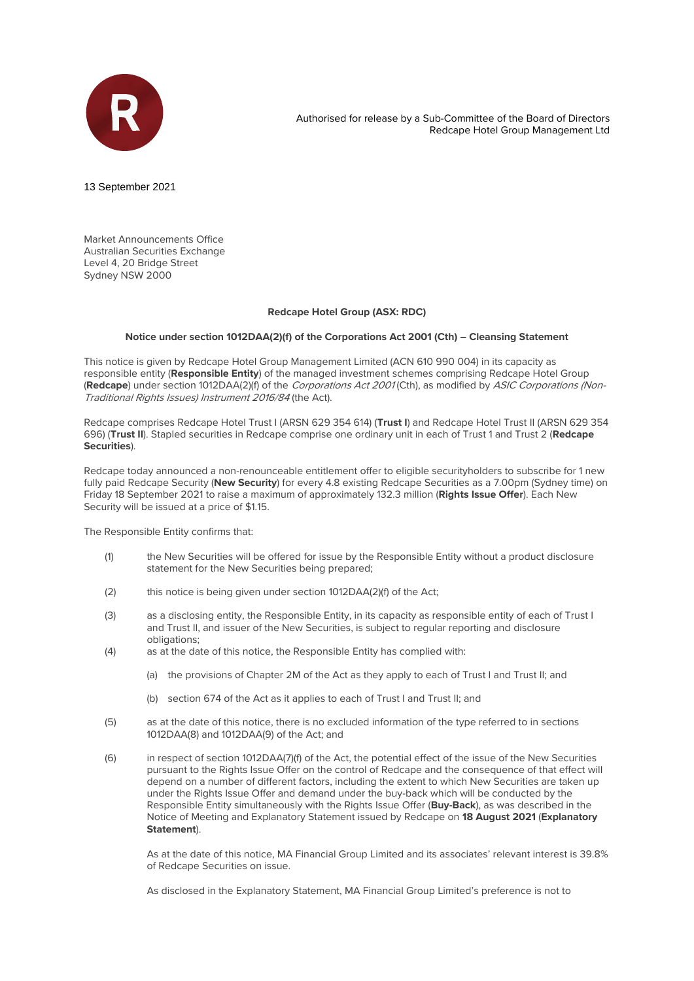

Authorised for release by a Sub-Committee of the Board of Directors Redcape Hotel Group Management Ltd

13 September 2021

Market Announcements Office Australian Securities Exchange Level 4, 20 Bridge Street Sydney NSW 2000

## **Redcape Hotel Group (ASX: RDC)**

## **Notice under section 1012DAA(2)(f) of the Corporations Act 2001 (Cth) – Cleansing Statement**

This notice is given by Redcape Hotel Group Management Limited (ACN 610 990 004) in its capacity as responsible entity (**Responsible Entity**) of the managed investment schemes comprising Redcape Hotel Group (**Redcape**) under section 1012DAA(2)(f) of the Corporations Act 2001 (Cth), as modified by ASIC Corporations (Non-Traditional Rights Issues) Instrument 2016/84 (the Act).

Redcape comprises Redcape Hotel Trust I (ARSN 629 354 614) (**Trust I**) and Redcape Hotel Trust II (ARSN 629 354 696) (**Trust II**). Stapled securities in Redcape comprise one ordinary unit in each of Trust 1 and Trust 2 (**Redcape Securities**).

Redcape today announced a non-renounceable entitlement offer to eligible securityholders to subscribe for 1 new fully paid Redcape Security (**New Security**) for every 4.8 existing Redcape Securities as a 7.00pm (Sydney time) on Friday 18 September 2021 to raise a maximum of approximately 132.3 million (**Rights Issue Offer**). Each New Security will be issued at a price of \$1.15.

The Responsible Entity confirms that:

- (1) the New Securities will be offered for issue by the Responsible Entity without a product disclosure statement for the New Securities being prepared;
- (2) this notice is being given under section 1012DAA(2)(f) of the Act;
- (3) as a disclosing entity, the Responsible Entity, in its capacity as responsible entity of each of Trust I and Trust II, and issuer of the New Securities, is subject to regular reporting and disclosure obligations;
- (4) as at the date of this notice, the Responsible Entity has complied with:
	- (a) the provisions of Chapter 2M of the Act as they apply to each of Trust I and Trust II; and
	- (b) section 674 of the Act as it applies to each of Trust I and Trust II; and
- (5) as at the date of this notice, there is no excluded information of the type referred to in sections 1012DAA(8) and 1012DAA(9) of the Act; and
- (6) in respect of section 1012DAA(7)(f) of the Act, the potential effect of the issue of the New Securities pursuant to the Rights Issue Offer on the control of Redcape and the consequence of that effect will depend on a number of different factors, including the extent to which New Securities are taken up under the Rights Issue Offer and demand under the buy-back which will be conducted by the Responsible Entity simultaneously with the Rights Issue Offer (**Buy-Back**), as was described in the Notice of Meeting and Explanatory Statement issued by Redcape on **18 August 2021** (**Explanatory Statement**).

As at the date of this notice, MA Financial Group Limited and its associates' relevant interest is 39.8% of Redcape Securities on issue.

As disclosed in the Explanatory Statement, MA Financial Group Limited's preference is not to